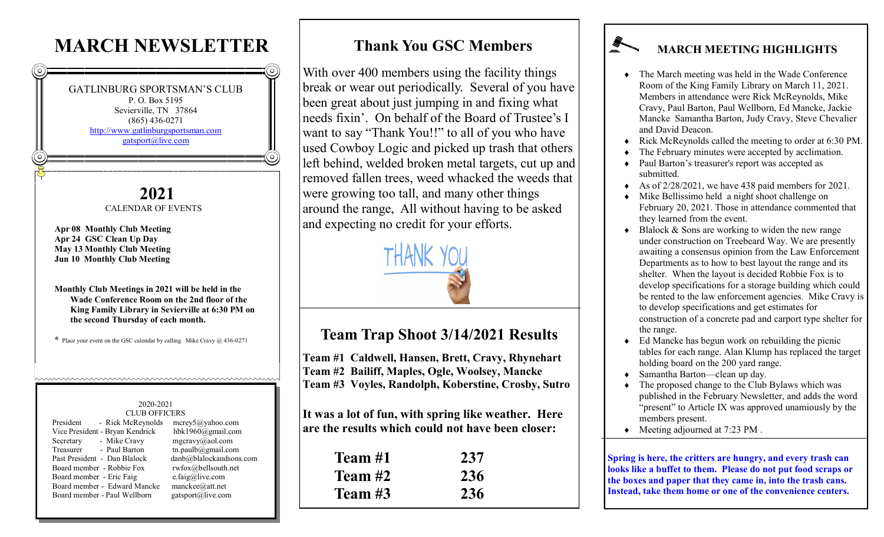# **MARCH NEWSLETTER**



#### **Thank You GSC Members**

With over 400 members using the facility things break or wear out periodically. Several of you have been great about just jumping in and fixing what needs fixin'. On behalf of the Board of Trustee's I want to say "Thank You!!" to all of you who have used Cowboy Logic and picked up trash that others left behind, welded broken metal targets, cut up and removed fallen trees, weed whacked the weeds that were growing too tall, and many other things around the range, All without having to be asked and expecting no credit for your efforts.



### **Team Trap Shoot 3/14/2021 Results**

**Team #1 Caldwell, Hansen, Brett, Cravy, Rhynehart Team #2 Bailiff, Maples, Ogle, Woolsey, Mancke Team #3 Voyles, Randolph, Koberstine, Crosby, Sutro**

**It was a lot of fun, with spring like weather. Here are the results which could not have been closer:**

| Team #1 | 237 |
|---------|-----|
| Team #2 | 236 |
| Team #3 | 236 |

## **MARCH MEETING HIGHLIGHTS**

- The March meeting was held in the Wade Conference Room of the King Family Library on March 11, 2021. Members in attendance were Rick McReynolds, Mike Cravy, Paul Barton, Paul Wellborn, Ed Mancke, Jackie Mancke Samantha Barton, Judy Cravy, Steve Chevalier and David Deacon.
- Rick McReynolds called the meeting to order at 6:30 PM.
- The February minutes were accepted by acclimation.
- Paul Barton's treasurer's report was accepted as submitted.
- As of 2/28/2021, we have 438 paid members for 2021.
- Mike Bellissimo held a night shoot challenge on February 20, 2021. Those in attendance commented that they learned from the event.
- Blalock & Sons are working to widen the new range under construction on Treebeard Way. We are presently awaiting a consensus opinion from the Law Enforcement Departments as to how to best layout the range and its shelter. When the layout is decided Robbie Fox is to develop specifications for a storage building which could be rented to the law enforcement agencies. Mike Cravy is to develop specifications and get estimates for construction of a concrete pad and carport type shelter for the range.
- Ed Mancke has begun work on rebuilding the picnic tables for each range. Alan Klump has replaced the target holding board on the 200 yard range.
- Samantha Barton—clean up day.
- The proposed change to the Club Bylaws which was published in the February Newsletter, and adds the word "present" to Article IX was approved unamiously by the members present.
- Meeting adjourned at 7:23 PM .

**Spring is here, the critters are hungry, and every trash can looks like a buffet to them. Please do not put food scraps or the boxes and paper that they came in, into the trash cans. Instead, take them home or one of the convenience centers.**